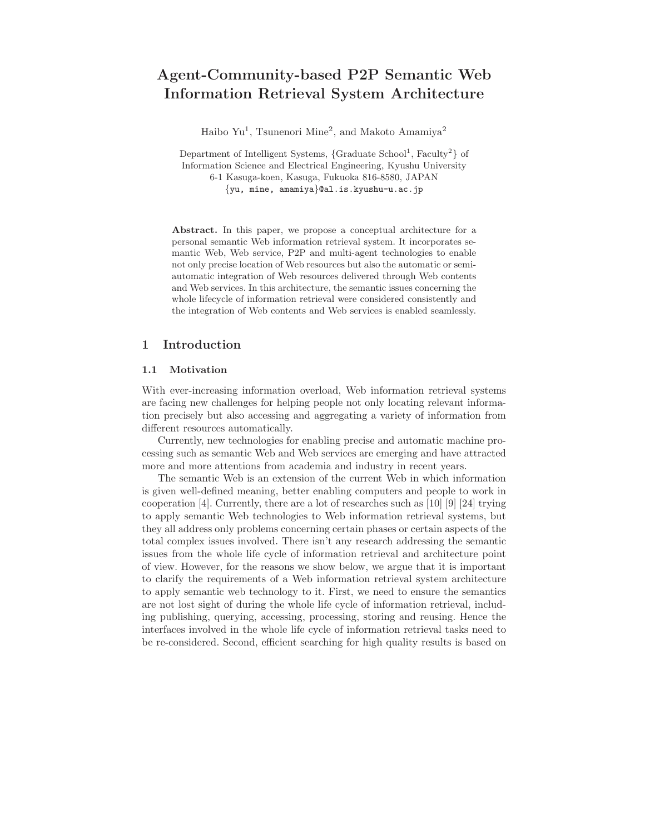# Agent-Community-based P2P Semantic Web Information Retrieval System Architecture

Haibo Yu<sup>1</sup>, Tsunenori Mine<sup>2</sup>, and Makoto Amamiya<sup>2</sup>

Department of Intelligent Systems, {Graduate School<sup>1</sup>, Faculty<sup>2</sup>} of Information Science and Electrical Engineering, Kyushu University 6-1 Kasuga-koen, Kasuga, Fukuoka 816-8580, JAPAN {yu, mine, amamiya}@al.is.kyushu-u.ac.jp

Abstract. In this paper, we propose a conceptual architecture for a personal semantic Web information retrieval system. It incorporates semantic Web, Web service, P2P and multi-agent technologies to enable not only precise location of Web resources but also the automatic or semiautomatic integration of Web resources delivered through Web contents and Web services. In this architecture, the semantic issues concerning the whole lifecycle of information retrieval were considered consistently and the integration of Web contents and Web services is enabled seamlessly.

## 1 Introduction

#### 1.1 Motivation

With ever-increasing information overload, Web information retrieval systems are facing new challenges for helping people not only locating relevant information precisely but also accessing and aggregating a variety of information from different resources automatically.

Currently, new technologies for enabling precise and automatic machine processing such as semantic Web and Web services are emerging and have attracted more and more attentions from academia and industry in recent years.

The semantic Web is an extension of the current Web in which information is given well-defined meaning, better enabling computers and people to work in cooperation [4]. Currently, there are a lot of researches such as [10] [9] [24] trying to apply semantic Web technologies to Web information retrieval systems, but they all address only problems concerning certain phases or certain aspects of the total complex issues involved. There isn't any research addressing the semantic issues from the whole life cycle of information retrieval and architecture point of view. However, for the reasons we show below, we argue that it is important to clarify the requirements of a Web information retrieval system architecture to apply semantic web technology to it. First, we need to ensure the semantics are not lost sight of during the whole life cycle of information retrieval, including publishing, querying, accessing, processing, storing and reusing. Hence the interfaces involved in the whole life cycle of information retrieval tasks need to be re-considered. Second, efficient searching for high quality results is based on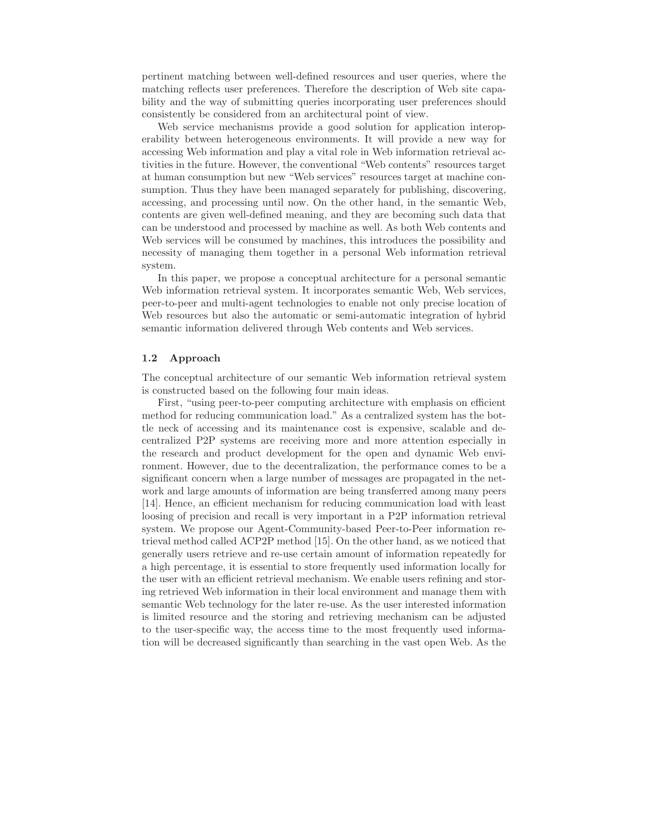pertinent matching between well-defined resources and user queries, where the matching reflects user preferences. Therefore the description of Web site capability and the way of submitting queries incorporating user preferences should consistently be considered from an architectural point of view.

Web service mechanisms provide a good solution for application interoperability between heterogeneous environments. It will provide a new way for accessing Web information and play a vital role in Web information retrieval activities in the future. However, the conventional "Web contents" resources target at human consumption but new "Web services" resources target at machine consumption. Thus they have been managed separately for publishing, discovering, accessing, and processing until now. On the other hand, in the semantic Web, contents are given well-defined meaning, and they are becoming such data that can be understood and processed by machine as well. As both Web contents and Web services will be consumed by machines, this introduces the possibility and necessity of managing them together in a personal Web information retrieval system.

In this paper, we propose a conceptual architecture for a personal semantic Web information retrieval system. It incorporates semantic Web, Web services, peer-to-peer and multi-agent technologies to enable not only precise location of Web resources but also the automatic or semi-automatic integration of hybrid semantic information delivered through Web contents and Web services.

#### 1.2 Approach

The conceptual architecture of our semantic Web information retrieval system is constructed based on the following four main ideas.

First, "using peer-to-peer computing architecture with emphasis on efficient method for reducing communication load." As a centralized system has the bottle neck of accessing and its maintenance cost is expensive, scalable and decentralized P2P systems are receiving more and more attention especially in the research and product development for the open and dynamic Web environment. However, due to the decentralization, the performance comes to be a significant concern when a large number of messages are propagated in the network and large amounts of information are being transferred among many peers [14]. Hence, an efficient mechanism for reducing communication load with least loosing of precision and recall is very important in a P2P information retrieval system. We propose our Agent-Community-based Peer-to-Peer information retrieval method called ACP2P method [15]. On the other hand, as we noticed that generally users retrieve and re-use certain amount of information repeatedly for a high percentage, it is essential to store frequently used information locally for the user with an efficient retrieval mechanism. We enable users refining and storing retrieved Web information in their local environment and manage them with semantic Web technology for the later re-use. As the user interested information is limited resource and the storing and retrieving mechanism can be adjusted to the user-specific way, the access time to the most frequently used information will be decreased significantly than searching in the vast open Web. As the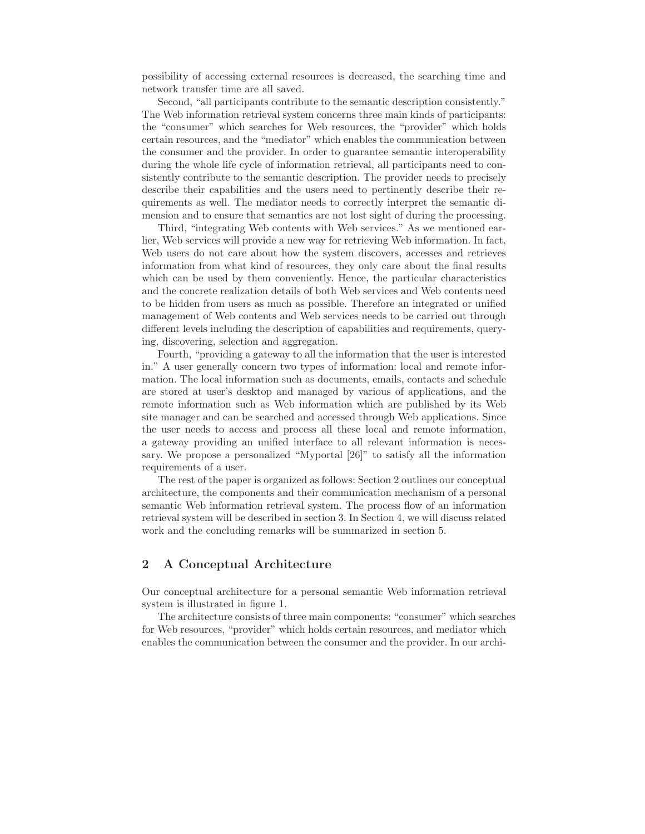possibility of accessing external resources is decreased, the searching time and network transfer time are all saved.

Second, "all participants contribute to the semantic description consistently." The Web information retrieval system concerns three main kinds of participants: the "consumer" which searches for Web resources, the "provider" which holds certain resources, and the "mediator" which enables the communication between the consumer and the provider. In order to guarantee semantic interoperability during the whole life cycle of information retrieval, all participants need to consistently contribute to the semantic description. The provider needs to precisely describe their capabilities and the users need to pertinently describe their requirements as well. The mediator needs to correctly interpret the semantic dimension and to ensure that semantics are not lost sight of during the processing.

Third, "integrating Web contents with Web services." As we mentioned earlier, Web services will provide a new way for retrieving Web information. In fact, Web users do not care about how the system discovers, accesses and retrieves information from what kind of resources, they only care about the final results which can be used by them conveniently. Hence, the particular characteristics and the concrete realization details of both Web services and Web contents need to be hidden from users as much as possible. Therefore an integrated or unified management of Web contents and Web services needs to be carried out through different levels including the description of capabilities and requirements, querying, discovering, selection and aggregation.

Fourth, "providing a gateway to all the information that the user is interested in." A user generally concern two types of information: local and remote information. The local information such as documents, emails, contacts and schedule are stored at user's desktop and managed by various of applications, and the remote information such as Web information which are published by its Web site manager and can be searched and accessed through Web applications. Since the user needs to access and process all these local and remote information, a gateway providing an unified interface to all relevant information is necessary. We propose a personalized "Myportal [26]" to satisfy all the information requirements of a user.

The rest of the paper is organized as follows: Section 2 outlines our conceptual architecture, the components and their communication mechanism of a personal semantic Web information retrieval system. The process flow of an information retrieval system will be described in section 3. In Section 4, we will discuss related work and the concluding remarks will be summarized in section 5.

# 2 A Conceptual Architecture

Our conceptual architecture for a personal semantic Web information retrieval system is illustrated in figure 1.

The architecture consists of three main components: "consumer" which searches for Web resources, "provider" which holds certain resources, and mediator which enables the communication between the consumer and the provider. In our archi-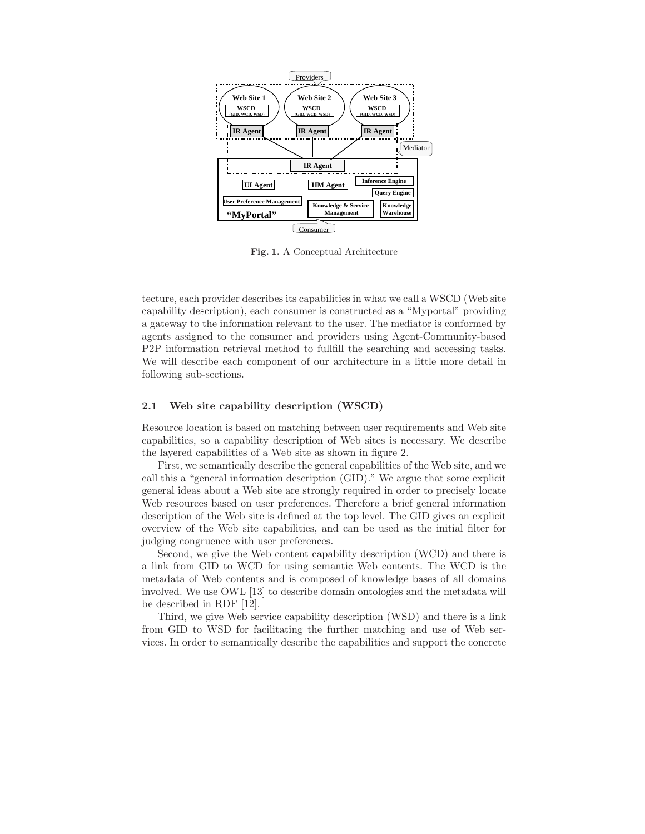

Fig. 1. A Conceptual Architecture

tecture, each provider describes its capabilities in what we call a WSCD (Web site capability description), each consumer is constructed as a "Myportal" providing a gateway to the information relevant to the user. The mediator is conformed by agents assigned to the consumer and providers using Agent-Community-based P2P information retrieval method to fullfill the searching and accessing tasks. We will describe each component of our architecture in a little more detail in following sub-sections.

#### 2.1 Web site capability description (WSCD)

Resource location is based on matching between user requirements and Web site capabilities, so a capability description of Web sites is necessary. We describe the layered capabilities of a Web site as shown in figure 2.

First, we semantically describe the general capabilities of the Web site, and we call this a "general information description (GID)." We argue that some explicit general ideas about a Web site are strongly required in order to precisely locate Web resources based on user preferences. Therefore a brief general information description of the Web site is defined at the top level. The GID gives an explicit overview of the Web site capabilities, and can be used as the initial filter for judging congruence with user preferences.

Second, we give the Web content capability description (WCD) and there is a link from GID to WCD for using semantic Web contents. The WCD is the metadata of Web contents and is composed of knowledge bases of all domains involved. We use OWL [13] to describe domain ontologies and the metadata will be described in RDF [12].

Third, we give Web service capability description (WSD) and there is a link from GID to WSD for facilitating the further matching and use of Web services. In order to semantically describe the capabilities and support the concrete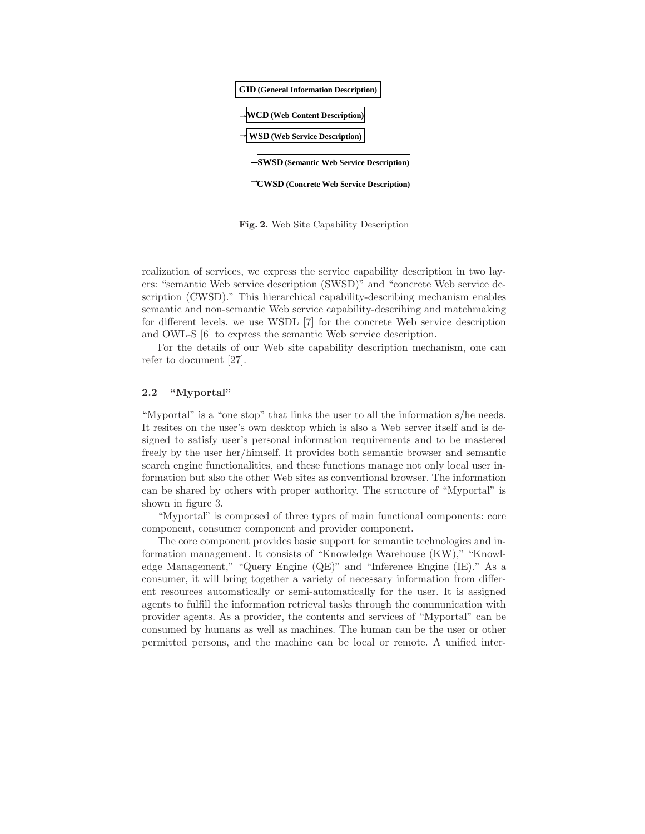

Fig. 2. Web Site Capability Description

realization of services, we express the service capability description in two layers: "semantic Web service description (SWSD)" and "concrete Web service description (CWSD)." This hierarchical capability-describing mechanism enables semantic and non-semantic Web service capability-describing and matchmaking for different levels. we use WSDL [7] for the concrete Web service description and OWL-S [6] to express the semantic Web service description.

For the details of our Web site capability description mechanism, one can refer to document [27].

## 2.2 "Myportal"

"Myportal" is a "one stop" that links the user to all the information s/he needs. It resites on the user's own desktop which is also a Web server itself and is designed to satisfy user's personal information requirements and to be mastered freely by the user her/himself. It provides both semantic browser and semantic search engine functionalities, and these functions manage not only local user information but also the other Web sites as conventional browser. The information can be shared by others with proper authority. The structure of "Myportal" is shown in figure 3.

"Myportal" is composed of three types of main functional components: core component, consumer component and provider component.

The core component provides basic support for semantic technologies and information management. It consists of "Knowledge Warehouse (KW)," "Knowledge Management," "Query Engine (QE)" and "Inference Engine (IE)." As a consumer, it will bring together a variety of necessary information from different resources automatically or semi-automatically for the user. It is assigned agents to fulfill the information retrieval tasks through the communication with provider agents. As a provider, the contents and services of "Myportal" can be consumed by humans as well as machines. The human can be the user or other permitted persons, and the machine can be local or remote. A unified inter-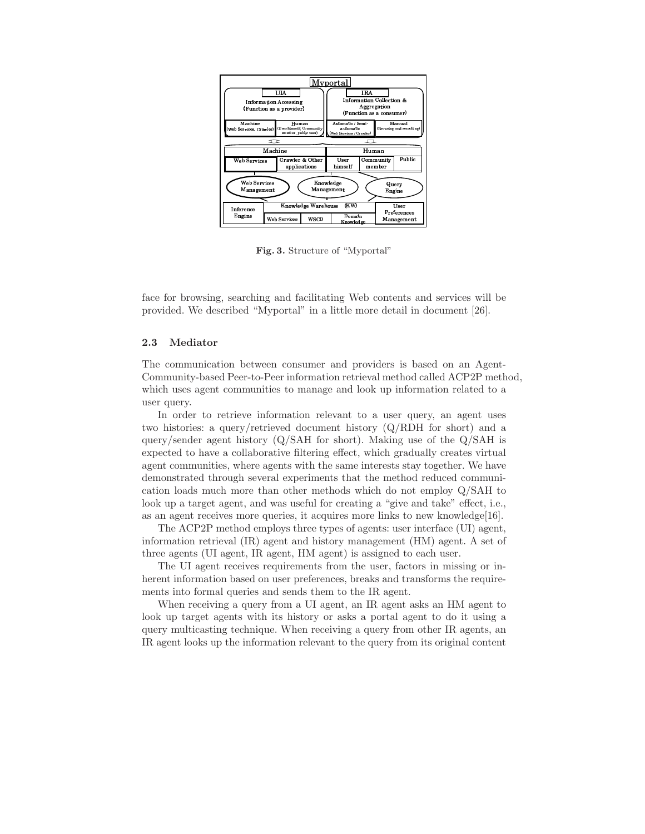

Fig. 3. Structure of "Myportal"

face for browsing, searching and facilitating Web contents and services will be provided. We described "Myportal" in a little more detail in document [26].

## 2.3 Mediator

The communication between consumer and providers is based on an Agent-Community-based Peer-to-Peer information retrieval method called ACP2P method, which uses agent communities to manage and look up information related to a user query.

In order to retrieve information relevant to a user query, an agent uses two histories: a query/retrieved document history  $(Q/RDH)$  for short) and a query/sender agent history (Q/SAH for short). Making use of the Q/SAH is expected to have a collaborative filtering effect, which gradually creates virtual agent communities, where agents with the same interests stay together. We have demonstrated through several experiments that the method reduced communication loads much more than other methods which do not employ Q/SAH to look up a target agent, and was useful for creating a "give and take" effect, i.e., as an agent receives more queries, it acquires more links to new knowledge[16].

The ACP2P method employs three types of agents: user interface (UI) agent, information retrieval (IR) agent and history management (HM) agent. A set of three agents (UI agent, IR agent, HM agent) is assigned to each user.

The UI agent receives requirements from the user, factors in missing or inherent information based on user preferences, breaks and transforms the requirements into formal queries and sends them to the IR agent.

When receiving a query from a UI agent, an IR agent asks an HM agent to look up target agents with its history or asks a portal agent to do it using a query multicasting technique. When receiving a query from other IR agents, an IR agent looks up the information relevant to the query from its original content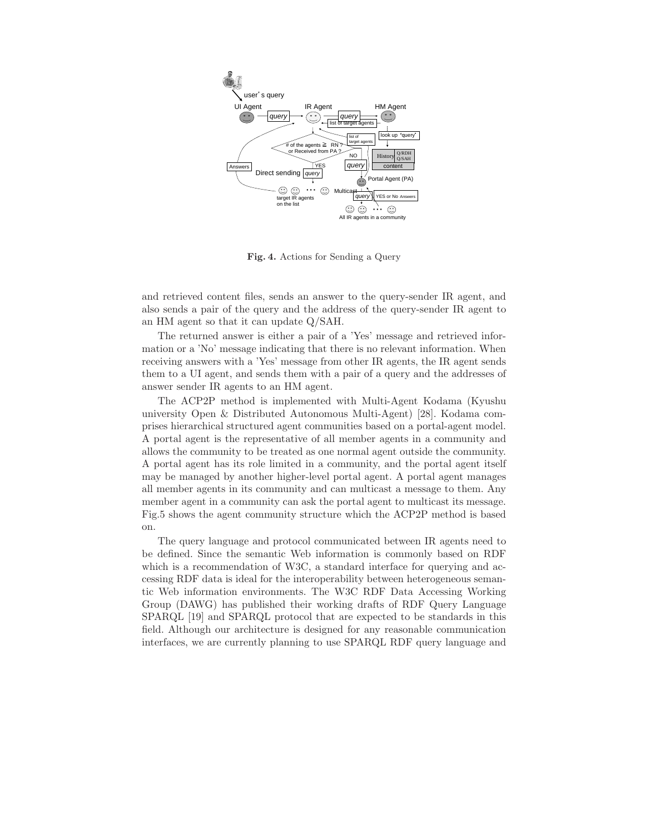

Fig. 4. Actions for Sending a Query

and retrieved content files, sends an answer to the query-sender IR agent, and also sends a pair of the query and the address of the query-sender IR agent to an HM agent so that it can update Q/SAH.

The returned answer is either a pair of a 'Yes' message and retrieved information or a 'No' message indicating that there is no relevant information. When receiving answers with a 'Yes' message from other IR agents, the IR agent sends them to a UI agent, and sends them with a pair of a query and the addresses of answer sender IR agents to an HM agent.

The ACP2P method is implemented with Multi-Agent Kodama (Kyushu university Open & Distributed Autonomous Multi-Agent) [28]. Kodama comprises hierarchical structured agent communities based on a portal-agent model. A portal agent is the representative of all member agents in a community and allows the community to be treated as one normal agent outside the community. A portal agent has its role limited in a community, and the portal agent itself may be managed by another higher-level portal agent. A portal agent manages all member agents in its community and can multicast a message to them. Any member agent in a community can ask the portal agent to multicast its message. Fig.5 shows the agent community structure which the ACP2P method is based on.

The query language and protocol communicated between IR agents need to be defined. Since the semantic Web information is commonly based on RDF which is a recommendation of W3C, a standard interface for querying and accessing RDF data is ideal for the interoperability between heterogeneous semantic Web information environments. The W3C RDF Data Accessing Working Group (DAWG) has published their working drafts of RDF Query Language SPARQL [19] and SPARQL protocol that are expected to be standards in this field. Although our architecture is designed for any reasonable communication interfaces, we are currently planning to use SPARQL RDF query language and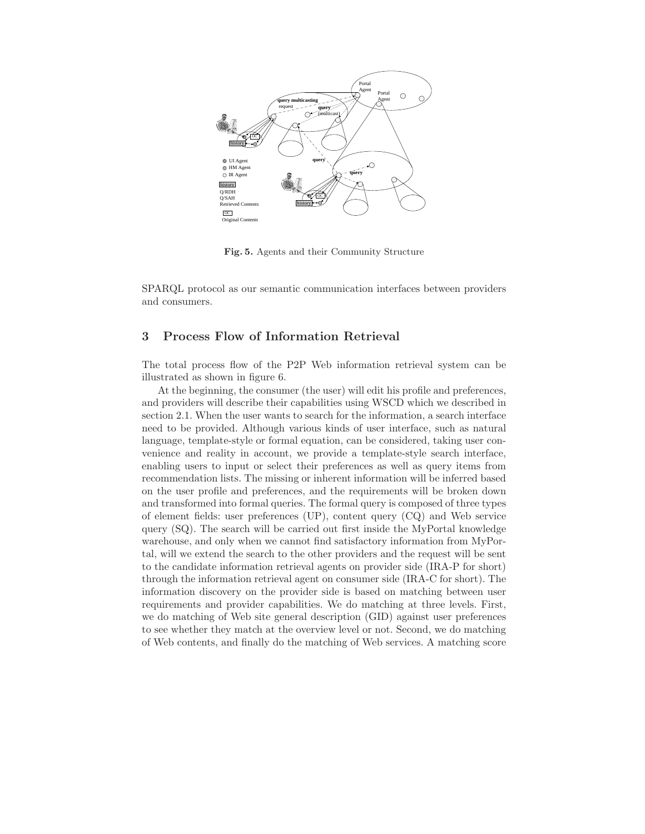

Fig. 5. Agents and their Community Structure

SPARQL protocol as our semantic communication interfaces between providers and consumers.

# 3 Process Flow of Information Retrieval

The total process flow of the P2P Web information retrieval system can be illustrated as shown in figure 6.

At the beginning, the consumer (the user) will edit his profile and preferences, and providers will describe their capabilities using WSCD which we described in section 2.1. When the user wants to search for the information, a search interface need to be provided. Although various kinds of user interface, such as natural language, template-style or formal equation, can be considered, taking user convenience and reality in account, we provide a template-style search interface, enabling users to input or select their preferences as well as query items from recommendation lists. The missing or inherent information will be inferred based on the user profile and preferences, and the requirements will be broken down and transformed into formal queries. The formal query is composed of three types of element fields: user preferences (UP), content query (CQ) and Web service query (SQ). The search will be carried out first inside the MyPortal knowledge warehouse, and only when we cannot find satisfactory information from MyPortal, will we extend the search to the other providers and the request will be sent to the candidate information retrieval agents on provider side (IRA-P for short) through the information retrieval agent on consumer side (IRA-C for short). The information discovery on the provider side is based on matching between user requirements and provider capabilities. We do matching at three levels. First, we do matching of Web site general description (GID) against user preferences to see whether they match at the overview level or not. Second, we do matching of Web contents, and finally do the matching of Web services. A matching score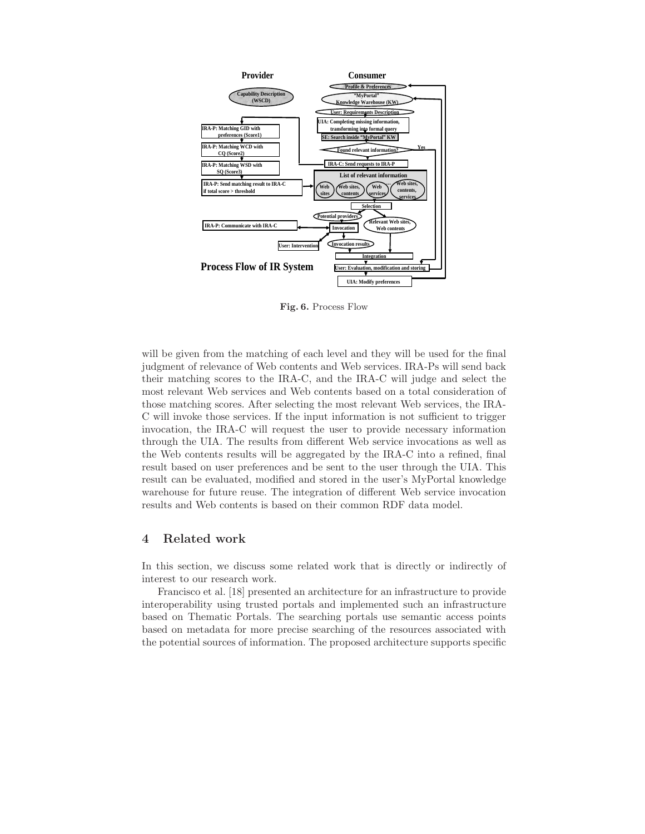

Fig. 6. Process Flow

will be given from the matching of each level and they will be used for the final judgment of relevance of Web contents and Web services. IRA-Ps will send back their matching scores to the IRA-C, and the IRA-C will judge and select the most relevant Web services and Web contents based on a total consideration of those matching scores. After selecting the most relevant Web services, the IRA-C will invoke those services. If the input information is not sufficient to trigger invocation, the IRA-C will request the user to provide necessary information through the UIA. The results from different Web service invocations as well as the Web contents results will be aggregated by the IRA-C into a refined, final result based on user preferences and be sent to the user through the UIA. This result can be evaluated, modified and stored in the user's MyPortal knowledge warehouse for future reuse. The integration of different Web service invocation results and Web contents is based on their common RDF data model.

## 4 Related work

In this section, we discuss some related work that is directly or indirectly of interest to our research work.

Francisco et al. [18] presented an architecture for an infrastructure to provide interoperability using trusted portals and implemented such an infrastructure based on Thematic Portals. The searching portals use semantic access points based on metadata for more precise searching of the resources associated with the potential sources of information. The proposed architecture supports specific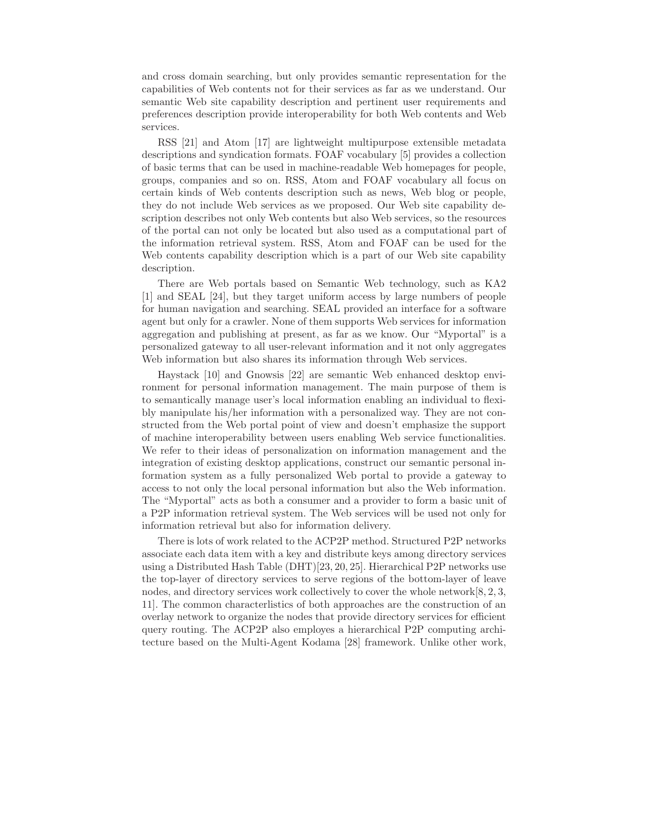and cross domain searching, but only provides semantic representation for the capabilities of Web contents not for their services as far as we understand. Our semantic Web site capability description and pertinent user requirements and preferences description provide interoperability for both Web contents and Web services.

RSS [21] and Atom [17] are lightweight multipurpose extensible metadata descriptions and syndication formats. FOAF vocabulary [5] provides a collection of basic terms that can be used in machine-readable Web homepages for people, groups, companies and so on. RSS, Atom and FOAF vocabulary all focus on certain kinds of Web contents description such as news, Web blog or people, they do not include Web services as we proposed. Our Web site capability description describes not only Web contents but also Web services, so the resources of the portal can not only be located but also used as a computational part of the information retrieval system. RSS, Atom and FOAF can be used for the Web contents capability description which is a part of our Web site capability description.

There are Web portals based on Semantic Web technology, such as KA2 [1] and SEAL [24], but they target uniform access by large numbers of people for human navigation and searching. SEAL provided an interface for a software agent but only for a crawler. None of them supports Web services for information aggregation and publishing at present, as far as we know. Our "Myportal" is a personalized gateway to all user-relevant information and it not only aggregates Web information but also shares its information through Web services.

Haystack [10] and Gnowsis [22] are semantic Web enhanced desktop environment for personal information management. The main purpose of them is to semantically manage user's local information enabling an individual to flexibly manipulate his/her information with a personalized way. They are not constructed from the Web portal point of view and doesn't emphasize the support of machine interoperability between users enabling Web service functionalities. We refer to their ideas of personalization on information management and the integration of existing desktop applications, construct our semantic personal information system as a fully personalized Web portal to provide a gateway to access to not only the local personal information but also the Web information. The "Myportal" acts as both a consumer and a provider to form a basic unit of a P2P information retrieval system. The Web services will be used not only for information retrieval but also for information delivery.

There is lots of work related to the ACP2P method. Structured P2P networks associate each data item with a key and distribute keys among directory services using a Distributed Hash Table (DHT)[23, 20, 25]. Hierarchical P2P networks use the top-layer of directory services to serve regions of the bottom-layer of leave nodes, and directory services work collectively to cover the whole network[8, 2, 3, 11]. The common characterlistics of both approaches are the construction of an overlay network to organize the nodes that provide directory services for efficient query routing. The ACP2P also employes a hierarchical P2P computing architecture based on the Multi-Agent Kodama [28] framework. Unlike other work,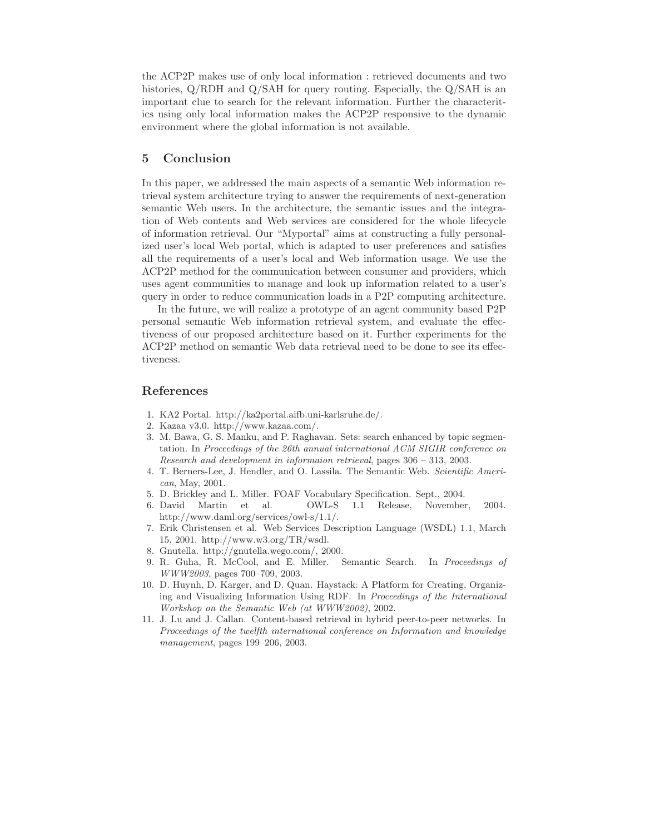the ACP2P makes use of only local information : retrieved documents and two histories,  $Q/RDH$  and  $Q/SAH$  for query routing. Especially, the  $Q/SAH$  is an important clue to search for the relevant information. Further the characteritics using only local information makes the ACP2P responsive to the dynamic environment where the global information is not available.

## 5 Conclusion

In this paper, we addressed the main aspects of a semantic Web information retrieval system architecture trying to answer the requirements of next-generation semantic Web users. In the architecture, the semantic issues and the integration of Web contents and Web services are considered for the whole lifecycle of information retrieval. Our "Myportal" aims at constructing a fully personalized user's local Web portal, which is adapted to user preferences and satisfies all the requirements of a user's local and Web information usage. We use the ACP2P method for the communication between consumer and providers, which uses agent communities to manage and look up information related to a user's query in order to reduce communication loads in a P2P computing architecture.

In the future, we will realize a prototype of an agent community based P2P personal semantic Web information retrieval system, and evaluate the effectiveness of our proposed architecture based on it. Further experiments for the ACP2P method on semantic Web data retrieval need to be done to see its effectiveness.

# References

- 1. KA2 Portal. http://ka2portal.aifb.uni-karlsruhe.de/.
- 2. Kazaa v3.0. http://www.kazaa.com/.
- 3. M. Bawa, G. S. Manku, and P. Raghavan. Sets: search enhanced by topic segmentation. In Proceedings of the 26th annual international ACM SIGIR conference on Research and development in informaion retrieval, pages 306 – 313, 2003.
- 4. T. Berners-Lee, J. Hendler, and O. Lassila. The Semantic Web. Scientific American, May, 2001.
- 5. D. Brickley and L. Miller. FOAF Vocabulary Specification. Sept., 2004.
- 6. David Martin et al. OWL-S 1.1 Release, November, 2004. http://www.daml.org/services/owl-s/1.1/.
- 7. Erik Christensen et al. Web Services Description Language (WSDL) 1.1, March 15, 2001. http://www.w3.org/TR/wsdl.
- 8. Gnutella. http://gnutella.wego.com/, 2000.
- 9. R. Guha, R. McCool, and E. Miller. Semantic Search. In Proceedings of WWW2003, pages 700–709, 2003.
- 10. D. Huynh, D. Karger, and D. Quan. Haystack: A Platform for Creating, Organizing and Visualizing Information Using RDF. In Proceedings of the International Workshop on the Semantic Web (at WWW2002), 2002.
- 11. J. Lu and J. Callan. Content-based retrieval in hybrid peer-to-peer networks. In Proceedings of the twelfth international conference on Information and knowledge management, pages 199–206, 2003.